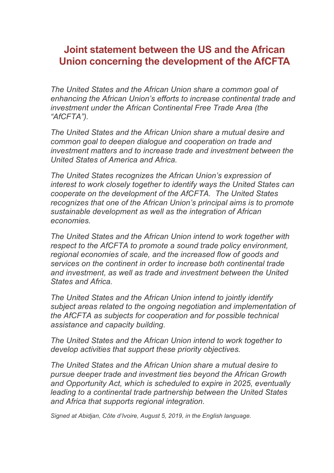## **Joint statement between the US and the African Union concerning the development of the AfCFTA**

*The United States and the African Union share a common goal of enhancing the African Union's efforts to increase continental trade and investment under the African Continental Free Trade Area (the "AfCFTA").*

*The United States and the African Union share a mutual desire and common goal to deepen dialogue and cooperation on trade and investment matters and to increase trade and investment between the United States of America and Africa.*

*The United States recognizes the African Union's expression of interest to work closely together to identify ways the United States can cooperate on the development of the AfCFTA. The United States recognizes that one of the African Union's principal aims is to promote sustainable development as well as the integration of African economies.*

*The United States and the African Union intend to work together with respect to the AfCFTA to promote a sound trade policy environment, regional economies of scale, and the increased flow of goods and services on the continent in order to increase both continental trade and investment, as well as trade and investment between the United States and Africa.*

*The United States and the African Union intend to jointly identify subject areas related to the ongoing negotiation and implementation of the AfCFTA as subjects for cooperation and for possible technical assistance and capacity building.*

*The United States and the African Union intend to work together to develop activities that support these priority objectives.*

*The United States and the African Union share a mutual desire to pursue deeper trade and investment ties beyond the African Growth and Opportunity Act, which is scheduled to expire in 2025, eventually leading to a continental trade partnership between the United States and Africa that supports regional integration.*

*Signed at Abidjan, Côte d'Ivoire, August 5, 2019, in the English language.*